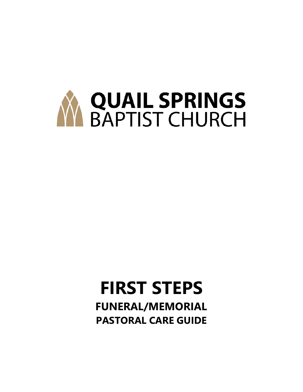

## **FIRST STEPS FUNERAL/MEMORIAL PASTORAL CARE GUIDE**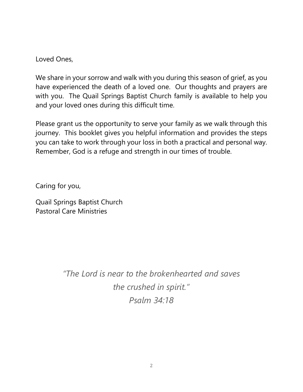Loved Ones,

We share in your sorrow and walk with you during this season of grief, as you have experienced the death of a loved one. Our thoughts and prayers are with you. The Quail Springs Baptist Church family is available to help you and your loved ones during this difficult time.

Please grant us the opportunity to serve your family as we walk through this journey. This booklet gives you helpful information and provides the steps you can take to work through your loss in both a practical and personal way. Remember, God is a refuge and strength in our times of trouble.

Caring for you,

Quail Springs Baptist Church Pastoral Care Ministries

> *"The Lord is near to the brokenhearted and saves the crushed in spirit." Psalm 34:18*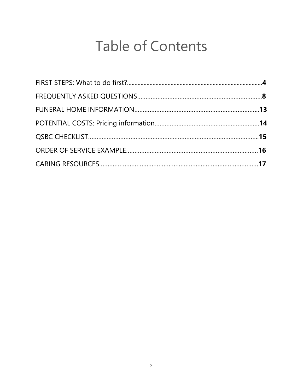# Table of Contents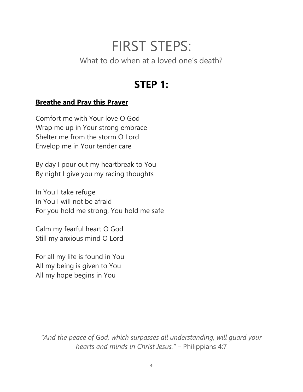## FIRST STEPS:

What to do when at a loved one's death?

## **STEP 1:**

#### **Breathe and Pray this Prayer**

Comfort me with Your love O God Wrap me up in Your strong embrace Shelter me from the storm O Lord Envelop me in Your tender care

By day I pour out my heartbreak to You By night I give you my racing thoughts

In You I take refuge In You I will not be afraid For you hold me strong, You hold me safe

Calm my fearful heart O God Still my anxious mind O Lord

For all my life is found in You All my being is given to You All my hope begins in You

*"And the peace of God, which surpasses all understanding, will guard your hearts and minds in Christ Jesus."* – Philippians 4:7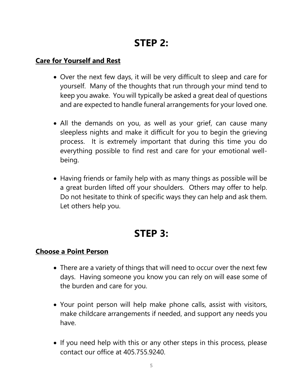## **STEP 2:**

#### **Care for Yourself and Rest**

- Over the next few days, it will be very difficult to sleep and care for yourself. Many of the thoughts that run through your mind tend to keep you awake. You will typically be asked a great deal of questions and are expected to handle funeral arrangements for your loved one.
- All the demands on you, as well as your grief, can cause many sleepless nights and make it difficult for you to begin the grieving process. It is extremely important that during this time you do everything possible to find rest and care for your emotional wellbeing.
- Having friends or family help with as many things as possible will be a great burden lifted off your shoulders. Others may offer to help. Do not hesitate to think of specific ways they can help and ask them. Let others help you.

### **STEP 3:**

#### **Choose a Point Person**

- There are a variety of things that will need to occur over the next few days. Having someone you know you can rely on will ease some of the burden and care for you.
- Your point person will help make phone calls, assist with visitors, make childcare arrangements if needed, and support any needs you have.
- If you need help with this or any other steps in this process, please contact our office at 405.755.9240.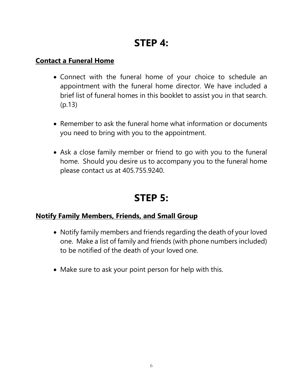## **STEP 4:**

#### **Contact a Funeral Home**

- Connect with the funeral home of your choice to schedule an appointment with the funeral home director. We have included a brief list of funeral homes in this booklet to assist you in that search. (p.13)
- Remember to ask the funeral home what information or documents you need to bring with you to the appointment.
- Ask a close family member or friend to go with you to the funeral home. Should you desire us to accompany you to the funeral home please contact us at 405.755.9240.

## **STEP 5:**

#### **Notify Family Members, Friends, and Small Group**

- Notify family members and friends regarding the death of your loved one. Make a list of family and friends (with phone numbers included) to be notified of the death of your loved one.
- Make sure to ask your point person for help with this.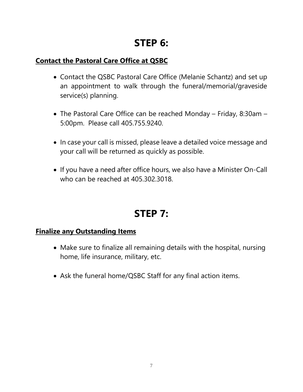## **STEP 6:**

#### **Contact the Pastoral Care Office at QSBC**

- Contact the QSBC Pastoral Care Office (Melanie Schantz) and set up an appointment to walk through the funeral/memorial/graveside service(s) planning.
- The Pastoral Care Office can be reached Monday Friday, 8:30am 5:00pm. Please call 405.755.9240.
- In case your call is missed, please leave a detailed voice message and your call will be returned as quickly as possible.
- If you have a need after office hours, we also have a Minister On-Call who can be reached at 405.302.3018.

## **STEP 7:**

#### **Finalize any Outstanding Items**

- Make sure to finalize all remaining details with the hospital, nursing home, life insurance, military, etc.
- Ask the funeral home/QSBC Staff for any final action items.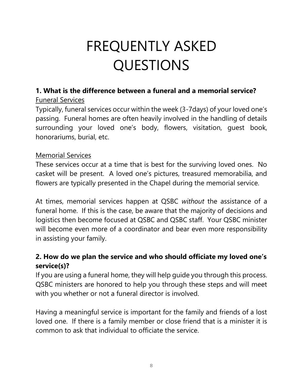# FREQUENTLY ASKED QUESTIONS

#### **1. What is the difference between a funeral and a memorial service?** Funeral Services

Typically, funeral services occur within the week (3-7days) of your loved one's passing. Funeral homes are often heavily involved in the handling of details surrounding your loved one's body, flowers, visitation, guest book, honorariums, burial, etc.

#### Memorial Services

These services occur at a time that is best for the surviving loved ones. No casket will be present. A loved one's pictures, treasured memorabilia, and flowers are typically presented in the Chapel during the memorial service.

At times, memorial services happen at QSBC *without* the assistance of a funeral home. If this is the case, be aware that the majority of decisions and logistics then become focused at QSBC and QSBC staff. Your QSBC minister will become even more of a coordinator and bear even more responsibility in assisting your family.

#### **2. How do we plan the service and who should officiate my loved one's service(s)?**

If you are using a funeral home, they will help guide you through this process. QSBC ministers are honored to help you through these steps and will meet with you whether or not a funeral director is involved.

Having a meaningful service is important for the family and friends of a lost loved one. If there is a family member or close friend that is a minister it is common to ask that individual to officiate the service.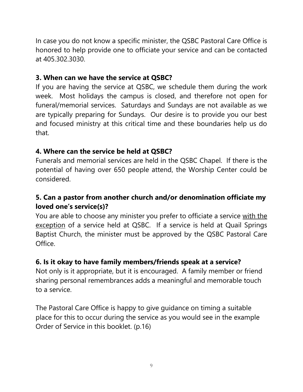In case you do not know a specific minister, the QSBC Pastoral Care Office is honored to help provide one to officiate your service and can be contacted at 405.302.3030.

#### **3. When can we have the service at QSBC?**

If you are having the service at QSBC, we schedule them during the work week. Most holidays the campus is closed, and therefore not open for funeral/memorial services. Saturdays and Sundays are not available as we are typically preparing for Sundays. Our desire is to provide you our best and focused ministry at this critical time and these boundaries help us do that.

#### **4. Where can the service be held at QSBC?**

Funerals and memorial services are held in the QSBC Chapel. If there is the potential of having over 650 people attend, the Worship Center could be considered.

#### **5. Can a pastor from another church and/or denomination officiate my loved one's service(s)?**

You are able to choose any minister you prefer to officiate a service with the exception of a service held at QSBC. If a service is held at Quail Springs Baptist Church, the minister must be approved by the QSBC Pastoral Care Office.

#### **6. Is it okay to have family members/friends speak at a service?**

Not only is it appropriate, but it is encouraged. A family member or friend sharing personal remembrances adds a meaningful and memorable touch to a service.

The Pastoral Care Office is happy to give guidance on timing a suitable place for this to occur during the service as you would see in the example Order of Service in this booklet. (p.16)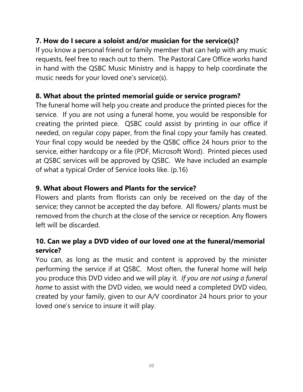#### **7. How do I secure a soloist and/or musician for the service(s)?**

If you know a personal friend or family member that can help with any music requests, feel free to reach out to them. The Pastoral Care Office works hand in hand with the QSBC Music Ministry and is happy to help coordinate the music needs for your loved one's service(s).

#### **8. What about the printed memorial guide or service program?**

The funeral home will help you create and produce the printed pieces for the service. If you are not using a funeral home, you would be responsible for creating the printed piece. QSBC could assist by printing in our office if needed, on regular copy paper, from the final copy your family has created. Your final copy would be needed by the QSBC office 24 hours prior to the service, either hardcopy or a file (PDF, Microsoft Word). Printed pieces used at QSBC services will be approved by QSBC. We have included an example of what a typical Order of Service looks like. (p.16)

#### **9. What about Flowers and Plants for the service?**

Flowers and plants from florists can only be received on the day of the service; they cannot be accepted the day before. All flowers/ plants must be removed from the church at the close of the service or reception. Any flowers left will be discarded.

#### **10. Can we play a DVD video of our loved one at the funeral/memorial service?**

You can, as long as the music and content is approved by the minister performing the service if at QSBC. Most often, the funeral home will help you produce this DVD video and we will play it. *If you are not using a funeral home* to assist with the DVD video, we would need a completed DVD video, created by your family, given to our A/V coordinator 24 hours prior to your loved one's service to insure it will play.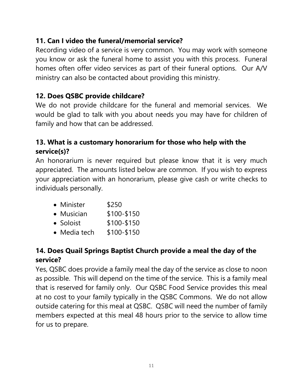#### **11. Can I video the funeral/memorial service?**

Recording video of a service is very common. You may work with someone you know or ask the funeral home to assist you with this process. Funeral homes often offer video services as part of their funeral options. Our A/V ministry can also be contacted about providing this ministry.

#### **12. Does QSBC provide childcare?**

We do not provide childcare for the funeral and memorial services. We would be glad to talk with you about needs you may have for children of family and how that can be addressed.

#### **13. What is a customary honorarium for those who help with the service(s)?**

An honorarium is never required but please know that it is very much appreciated. The amounts listed below are common. If you wish to express your appreciation with an honorarium, please give cash or write checks to individuals personally.

- Minister \$250
- Musician \$100-\$150
- Soloist \$100-\$150
- Media tech \$100-\$150

#### **14. Does Quail Springs Baptist Church provide a meal the day of the service?**

Yes, QSBC does provide a family meal the day of the service as close to noon as possible. This will depend on the time of the service. This is a family meal that is reserved for family only. Our QSBC Food Service provides this meal at no cost to your family typically in the QSBC Commons. We do not allow outside catering for this meal at QSBC. QSBC will need the number of family members expected at this meal 48 hours prior to the service to allow time for us to prepare.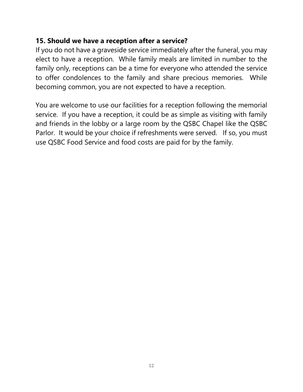#### **15. Should we have a reception after a service?**

If you do not have a graveside service immediately after the funeral, you may elect to have a reception. While family meals are limited in number to the family only, receptions can be a time for everyone who attended the service to offer condolences to the family and share precious memories. While becoming common, you are not expected to have a reception.

You are welcome to use our facilities for a reception following the memorial service. If you have a reception, it could be as simple as visiting with family and friends in the lobby or a large room by the QSBC Chapel like the QSBC Parlor. It would be your choice if refreshments were served. If so, you must use QSBC Food Service and food costs are paid for by the family.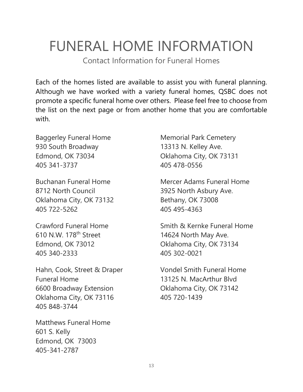# FUNERAL HOME INFORMATION

Contact Information for Funeral Homes

Each of the homes listed are available to assist you with funeral planning. Although we have worked with a variety funeral homes, QSBC does not promote a specific funeral home over others. Please feel free to choose from the list on the next page or from another home that you are comfortable with.

Baggerley Funeral Home 930 South Broadway Edmond, OK 73034 405 341-3737

Buchanan Funeral Home 8712 North Council Oklahoma City, OK 73132 405 722-5262

Crawford Funeral Home 610 N.W. 178th Street Edmond, OK 73012 405 340-2333

Hahn, Cook, Street & Draper Funeral Home 6600 Broadway Extension Oklahoma City, OK 73116 405 848-3744

Matthews Funeral Home 601 S. Kelly Edmond, OK 73003 405-341-2787

Memorial Park Cemetery 13313 N. Kelley Ave. Oklahoma City, OK 73131 405 478-0556

Mercer Adams Funeral Home 3925 North Asbury Ave. Bethany, OK 73008 405 495-4363

Smith & Kernke Funeral Home 14624 North May Ave. Oklahoma City, OK 73134 405 302-0021

Vondel Smith Funeral Home 13125 N. MacArthur Blvd Oklahoma City, OK 73142 405 720-1439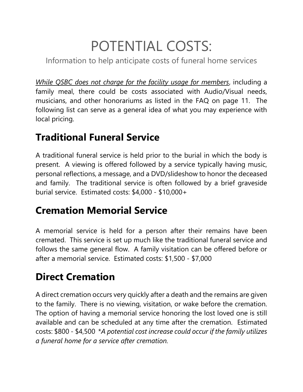# POTENTIAL COSTS:

Information to help anticipate costs of funeral home services

*While QSBC does not charge for the facility usage for members*, including a family meal, there could be costs associated with Audio/Visual needs, musicians, and other honorariums as listed in the FAQ on page 11. The following list can serve as a general idea of what you may experience with local pricing.

## **Traditional Funeral Service**

A traditional funeral service is held prior to the burial in which the body is present. A viewing is offered followed by a service typically having music, personal reflections, a message, and a DVD/slideshow to honor the deceased and family. The traditional service is often followed by a brief graveside burial service. Estimated costs: \$4,000 - \$10,000+

## **Cremation Memorial Service**

A memorial service is held for a person after their remains have been cremated. This service is set up much like the traditional funeral service and follows the same general flow. A family visitation can be offered before or after a memorial service. Estimated costs: \$1,500 - \$7,000

## **Direct Cremation**

A direct cremation occurs very quickly after a death and the remains are given to the family. There is no viewing, visitation, or wake before the cremation. The option of having a memorial service honoring the lost loved one is still available and can be scheduled at any time after the cremation. Estimated costs: \$800 - \$4,500 \**A potential cost increase could occur if the family utilizes a funeral home for a service after cremation.*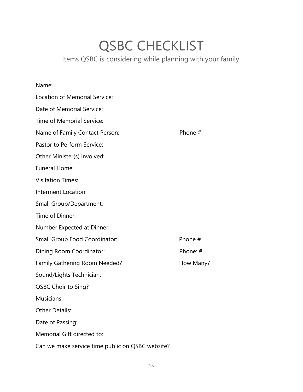## QSBC CHECKLIST

Items QSBC is considering while planning with your family.

#### Name:

| Location of Memorial Service:                    |           |
|--------------------------------------------------|-----------|
| Date of Memorial Service:                        |           |
| Time of Memorial Service:                        |           |
| Name of Family Contact Person:                   | Phone #   |
| Pastor to Perform Service:                       |           |
| Other Minister(s) involved:                      |           |
| <b>Funeral Home:</b>                             |           |
| <b>Visitation Times:</b>                         |           |
| Interment Location:                              |           |
| <b>Small Group/Department:</b>                   |           |
| Time of Dinner:                                  |           |
| Number Expected at Dinner:                       |           |
| Small Group Food Coordinator:                    | Phone #   |
| Dining Room Coordinator:                         | Phone: #  |
| <b>Family Gathering Room Needed?</b>             | How Many? |
| Sound/Lights Technician:                         |           |
| <b>QSBC Choir to Sing?</b>                       |           |
| Musicians:                                       |           |
| <b>Other Details:</b>                            |           |
| Date of Passing:                                 |           |
| Memorial Gift directed to:                       |           |
| Can we make service time public on QSBC website? |           |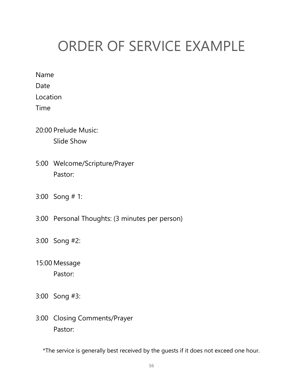# ORDER OF SERVICE EXAMPLE

Name

Date

Location

Time

- 20:00 Prelude Music: Slide Show
- 5:00 Welcome/Scripture/Prayer Pastor:
- 3:00 Song # 1:
- 3:00 Personal Thoughts: (3 minutes per person)
- 3:00 Song #2:
- 15:00 Message Pastor:
- 3:00 Song #3:
- 3:00 Closing Comments/Prayer Pastor:

\*The service is generally best received by the guests if it does not exceed one hour.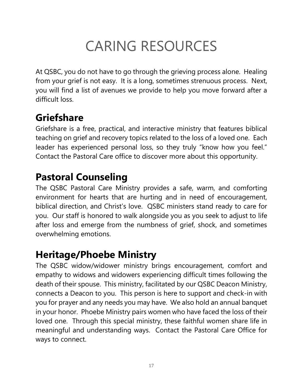# CARING RESOURCES

At QSBC, you do not have to go through the grieving process alone. Healing from your grief is not easy. It is a long, sometimes strenuous process. Next, you will find a list of avenues we provide to help you move forward after a difficult loss.

## **Griefshare**

Griefshare is a free, practical, and interactive ministry that features biblical teaching on grief and recovery topics related to the loss of a loved one. Each leader has experienced personal loss, so they truly "know how you feel." Contact the Pastoral Care office to discover more about this opportunity.

## **Pastoral Counseling**

The QSBC Pastoral Care Ministry provides a safe, warm, and comforting environment for hearts that are hurting and in need of encouragement, biblical direction, and Christ's love. QSBC ministers stand ready to care for you. Our staff is honored to walk alongside you as you seek to adjust to life after loss and emerge from the numbness of grief, shock, and sometimes overwhelming emotions.

### **Heritage/Phoebe Ministry**

The QSBC widow/widower ministry brings encouragement, comfort and empathy to widows and widowers experiencing difficult times following the death of their spouse. This ministry, facilitated by our QSBC Deacon Ministry, connects a Deacon to you. This person is here to support and check-in with you for prayer and any needs you may have. We also hold an annual banquet in your honor. Phoebe Ministry pairs women who have faced the loss of their loved one. Through this special ministry, these faithful women share life in meaningful and understanding ways. Contact the Pastoral Care Office for ways to connect.